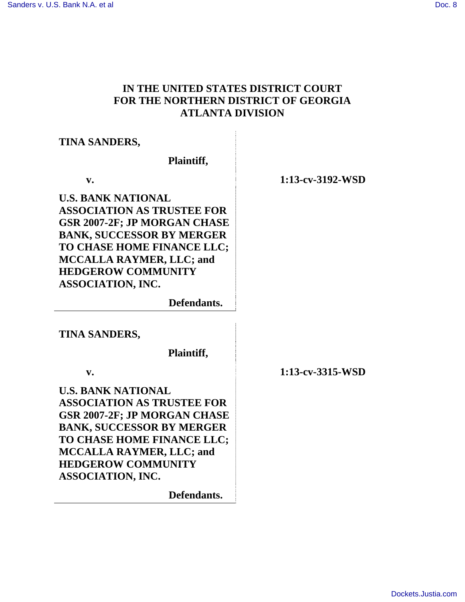# **IN THE UNITED STATES DISTRICT COURT FOR THE NORTHERN DISTRICT OF GEORGIA ATLANTA DIVISION**

# **TINA SANDERS,**

 **Plaintiff,**

 **v. 1:13-cv-3192-WSD**

**U.S. BANK NATIONAL ASSOCIATION AS TRUSTEE FOR GSR 2007-2F; JP MORGAN CHASE BANK, SUCCESSOR BY MERGER TO CHASE HOME FINANCE LLC; MCCALLA RAYMER, LLC; and HEDGEROW COMMUNITY ASSOCIATION, INC.**

 **Defendants.**

**TINA SANDERS,** 

 **Plaintiff,**

**U.S. BANK NATIONAL ASSOCIATION AS TRUSTEE FOR GSR 2007-2F; JP MORGAN CHASE BANK, SUCCESSOR BY MERGER TO CHASE HOME FINANCE LLC; MCCALLA RAYMER, LLC; and HEDGEROW COMMUNITY ASSOCIATION, INC.**

 **Defendants.**

 **v. 1:13-cv-3315-WSD**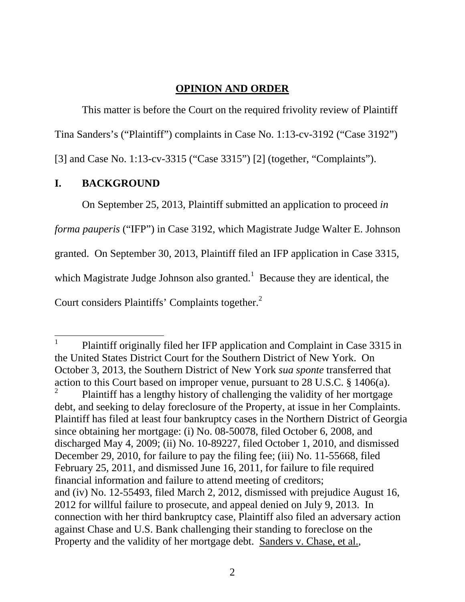## **OPINION AND ORDER**

This matter is before the Court on the required frivolity review of Plaintiff

Tina Sanders's ("Plaintiff") complaints in Case No. 1:13-cv-3192 ("Case 3192")

[3] and Case No. 1:13-cv-3315 ("Case 3315") [2] (together, "Complaints").

## **I. BACKGROUND**

 $\overline{a}$ 

On September 25, 2013, Plaintiff submitted an application to proceed *in* 

*forma pauperis* ("IFP") in Case 3192, which Magistrate Judge Walter E. Johnson

granted. On September 30, 2013, Plaintiff filed an IFP application in Case 3315,

which Magistrate Judge Johnson also granted.<sup>1</sup> Because they are identical, the

Court considers Plaintiffs' Complaints together.<sup>2</sup>

<sup>1</sup> Plaintiff originally filed her IFP application and Complaint in Case 3315 in the United States District Court for the Southern District of New York. On October 3, 2013, the Southern District of New York *sua sponte* transferred that action to this Court based on improper venue, pursuant to 28 U.S.C. § 1406(a).

<sup>2</sup> Plaintiff has a lengthy history of challenging the validity of her mortgage debt, and seeking to delay foreclosure of the Property, at issue in her Complaints. Plaintiff has filed at least four bankruptcy cases in the Northern District of Georgia since obtaining her mortgage: (i) No. 08-50078, filed October 6, 2008, and discharged May 4, 2009; (ii) No. 10-89227, filed October 1, 2010, and dismissed December 29, 2010, for failure to pay the filing fee; (iii) No. 11-55668, filed February 25, 2011, and dismissed June 16, 2011, for failure to file required financial information and failure to attend meeting of creditors; and (iv) No. 12-55493, filed March 2, 2012, dismissed with prejudice August 16, 2012 for willful failure to prosecute, and appeal denied on July 9, 2013. In connection with her third bankruptcy case, Plaintiff also filed an adversary action against Chase and U.S. Bank challenging their standing to foreclose on the Property and the validity of her mortgage debt. Sanders v. Chase, et al.,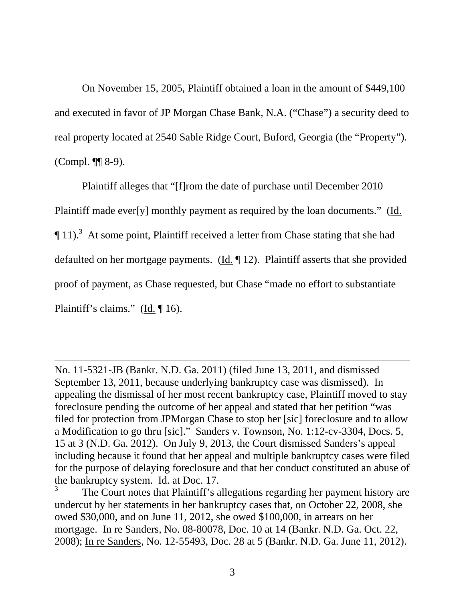On November 15, 2005, Plaintiff obtained a loan in the amount of \$449,100 and executed in favor of JP Morgan Chase Bank, N.A. ("Chase") a security deed to real property located at 2540 Sable Ridge Court, Buford, Georgia (the "Property"). (Compl. ¶¶ 8-9).

Plaintiff alleges that "[f]rom the date of purchase until December 2010 Plaintiff made ever[y] monthly payment as required by the loan documents." (Id.  $\P$  11).<sup>3</sup> At some point, Plaintiff received a letter from Chase stating that she had defaulted on her mortgage payments. (Id. ¶ 12). Plaintiff asserts that she provided proof of payment, as Chase requested, but Chase "made no effort to substantiate Plaintiff's claims." (Id. 16).

 $\overline{a}$ 

No. 11-5321-JB (Bankr. N.D. Ga. 2011) (filed June 13, 2011, and dismissed September 13, 2011, because underlying bankruptcy case was dismissed). In appealing the dismissal of her most recent bankruptcy case, Plaintiff moved to stay foreclosure pending the outcome of her appeal and stated that her petition "was filed for protection from JPMorgan Chase to stop her [sic] foreclosure and to allow a Modification to go thru [sic]." Sanders v. Townson, No. 1:12-cv-3304, Docs. 5, 15 at 3 (N.D. Ga. 2012). On July 9, 2013, the Court dismissed Sanders's appeal including because it found that her appeal and multiple bankruptcy cases were filed for the purpose of delaying foreclosure and that her conduct constituted an abuse of the bankruptcy system. Id. at Doc. 17.

<sup>3</sup> The Court notes that Plaintiff's allegations regarding her payment history are undercut by her statements in her bankruptcy cases that, on October 22, 2008, she owed \$30,000, and on June 11, 2012, she owed \$100,000, in arrears on her mortgage. In re Sanders, No. 08-80078, Doc. 10 at 14 (Bankr. N.D. Ga. Oct. 22, 2008); In re Sanders, No. 12-55493, Doc. 28 at 5 (Bankr. N.D. Ga. June 11, 2012).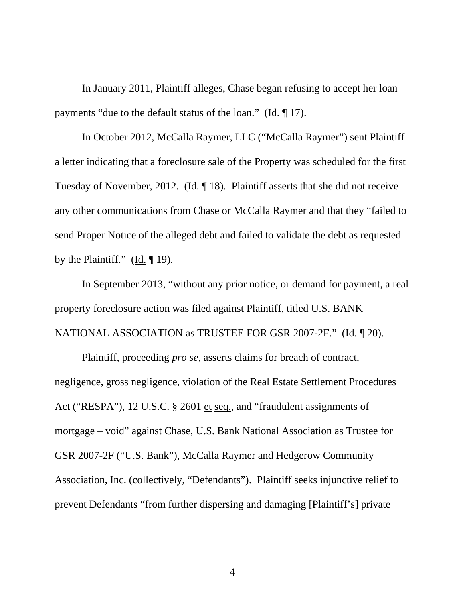In January 2011, Plaintiff alleges, Chase began refusing to accept her loan payments "due to the default status of the loan." (Id. ¶ 17).

In October 2012, McCalla Raymer, LLC ("McCalla Raymer") sent Plaintiff a letter indicating that a foreclosure sale of the Property was scheduled for the first Tuesday of November, 2012. (Id. ¶ 18). Plaintiff asserts that she did not receive any other communications from Chase or McCalla Raymer and that they "failed to send Proper Notice of the alleged debt and failed to validate the debt as requested by the Plaintiff." ( $\underline{Id}$ .  $\P$  19).

In September 2013, "without any prior notice, or demand for payment, a real property foreclosure action was filed against Plaintiff, titled U.S. BANK NATIONAL ASSOCIATION as TRUSTEE FOR GSR 2007-2F." (Id. ¶ 20).

Plaintiff, proceeding *pro se*, asserts claims for breach of contract, negligence, gross negligence, violation of the Real Estate Settlement Procedures Act ("RESPA"), 12 U.S.C. § 2601 et seq., and "fraudulent assignments of mortgage – void" against Chase, U.S. Bank National Association as Trustee for GSR 2007-2F ("U.S. Bank"), McCalla Raymer and Hedgerow Community Association, Inc. (collectively, "Defendants"). Plaintiff seeks injunctive relief to prevent Defendants "from further dispersing and damaging [Plaintiff's] private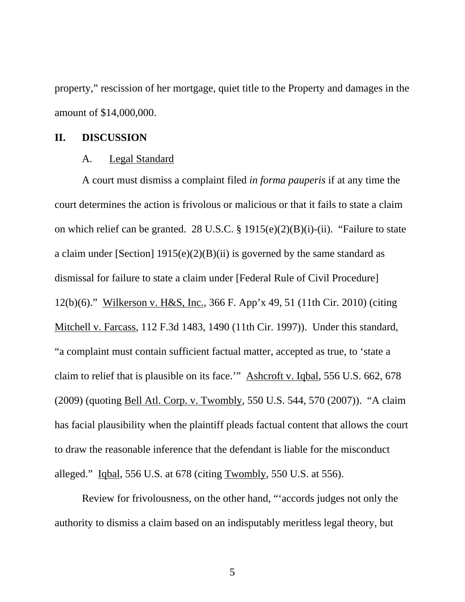property," rescission of her mortgage, quiet title to the Property and damages in the amount of \$14,000,000.

#### **II. DISCUSSION**

#### A. Legal Standard

A court must dismiss a complaint filed *in forma pauperis* if at any time the court determines the action is frivolous or malicious or that it fails to state a claim on which relief can be granted. 28 U.S.C. § 1915(e)(2)(B)(i)-(ii). "Failure to state a claim under [Section]  $1915(e)(2)(B)(ii)$  is governed by the same standard as dismissal for failure to state a claim under [Federal Rule of Civil Procedure] 12(b)(6)." Wilkerson v. H&S, Inc., 366 F. App'x 49, 51 (11th Cir. 2010) (citing Mitchell v. Farcass, 112 F.3d 1483, 1490 (11th Cir. 1997)). Under this standard, "a complaint must contain sufficient factual matter, accepted as true, to 'state a claim to relief that is plausible on its face.'" Ashcroft v. Iqbal, 556 U.S. 662, 678 (2009) (quoting Bell Atl. Corp. v. Twombly, 550 U.S. 544, 570 (2007)). "A claim has facial plausibility when the plaintiff pleads factual content that allows the court to draw the reasonable inference that the defendant is liable for the misconduct alleged." Iqbal, 556 U.S. at 678 (citing Twombly, 550 U.S. at 556).

Review for frivolousness, on the other hand, "'accords judges not only the authority to dismiss a claim based on an indisputably meritless legal theory, but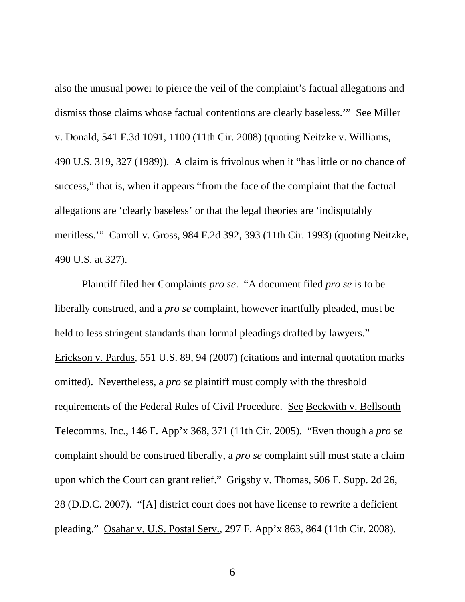also the unusual power to pierce the veil of the complaint's factual allegations and dismiss those claims whose factual contentions are clearly baseless.'" See Miller v. Donald, 541 F.3d 1091, 1100 (11th Cir. 2008) (quoting Neitzke v. Williams, 490 U.S. 319, 327 (1989)). A claim is frivolous when it "has little or no chance of success," that is, when it appears "from the face of the complaint that the factual allegations are 'clearly baseless' or that the legal theories are 'indisputably meritless.'" Carroll v. Gross, 984 F.2d 392, 393 (11th Cir. 1993) (quoting Neitzke, 490 U.S. at 327).

Plaintiff filed her Complaints *pro se*. "A document filed *pro se* is to be liberally construed, and a *pro se* complaint, however inartfully pleaded, must be held to less stringent standards than formal pleadings drafted by lawyers." Erickson v. Pardus, 551 U.S. 89, 94 (2007) (citations and internal quotation marks omitted). Nevertheless, a *pro se* plaintiff must comply with the threshold requirements of the Federal Rules of Civil Procedure. See Beckwith v. Bellsouth Telecomms. Inc., 146 F. App'x 368, 371 (11th Cir. 2005). "Even though a *pro se* complaint should be construed liberally, a *pro se* complaint still must state a claim upon which the Court can grant relief." Grigsby v. Thomas, 506 F. Supp. 2d 26, 28 (D.D.C. 2007). "[A] district court does not have license to rewrite a deficient pleading." Osahar v. U.S. Postal Serv., 297 F. App'x 863, 864 (11th Cir. 2008).

6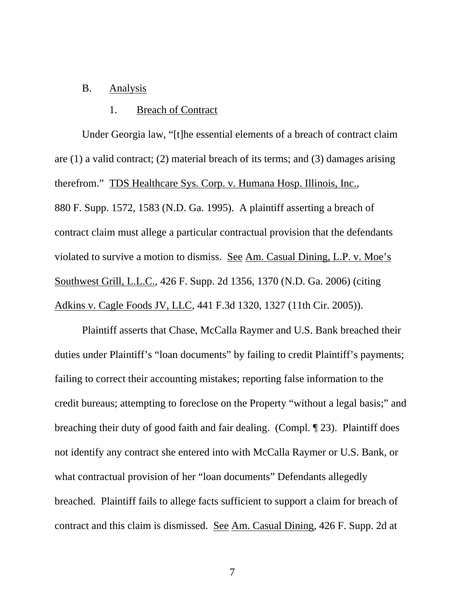# B. Analysis

#### 1. Breach of Contract

Under Georgia law, "[t]he essential elements of a breach of contract claim are (1) a valid contract; (2) material breach of its terms; and (3) damages arising therefrom." TDS Healthcare Sys. Corp. v. Humana Hosp. Illinois, Inc., 880 F. Supp. 1572, 1583 (N.D. Ga. 1995). A plaintiff asserting a breach of contract claim must allege a particular contractual provision that the defendants violated to survive a motion to dismiss. See Am. Casual Dining, L.P. v. Moe's Southwest Grill, L.L.C., 426 F. Supp. 2d 1356, 1370 (N.D. Ga. 2006) (citing Adkins v. Cagle Foods JV, LLC, 441 F.3d 1320, 1327 (11th Cir. 2005)).

Plaintiff asserts that Chase, McCalla Raymer and U.S. Bank breached their duties under Plaintiff's "loan documents" by failing to credit Plaintiff's payments; failing to correct their accounting mistakes; reporting false information to the credit bureaus; attempting to foreclose on the Property "without a legal basis;" and breaching their duty of good faith and fair dealing. (Compl. ¶ 23). Plaintiff does not identify any contract she entered into with McCalla Raymer or U.S. Bank, or what contractual provision of her "loan documents" Defendants allegedly breached. Plaintiff fails to allege facts sufficient to support a claim for breach of contract and this claim is dismissed. See Am. Casual Dining, 426 F. Supp. 2d at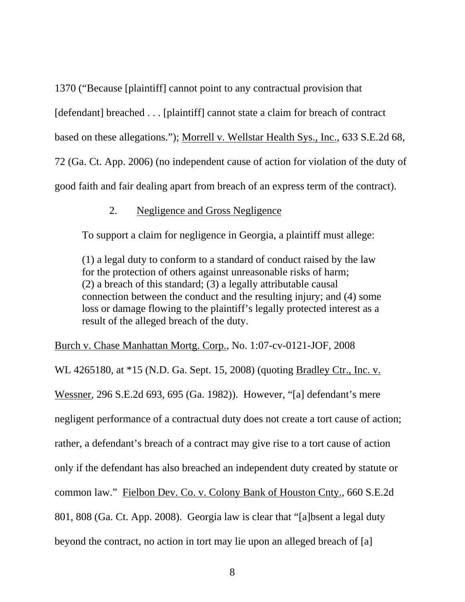1370 ("Because [plaintiff] cannot point to any contractual provision that [defendant] breached . . . [plaintiff] cannot state a claim for breach of contract based on these allegations."); Morrell v. Wellstar Health Sys., Inc., 633 S.E.2d 68, 72 (Ga. Ct. App. 2006) (no independent cause of action for violation of the duty of good faith and fair dealing apart from breach of an express term of the contract).

### 2. Negligence and Gross Negligence

To support a claim for negligence in Georgia, a plaintiff must allege:

(1) a legal duty to conform to a standard of conduct raised by the law for the protection of others against unreasonable risks of harm; (2) a breach of this standard; (3) a legally attributable causal connection between the conduct and the resulting injury; and (4) some loss or damage flowing to the plaintiff's legally protected interest as a result of the alleged breach of the duty.

Burch v. Chase Manhattan Mortg. Corp., No. 1:07-cv-0121-JOF, 2008

WL 4265180, at \*15 (N.D. Ga. Sept. 15, 2008) (quoting Bradley Ctr., Inc. v. Wessner*,* 296 S.E.2d 693, 695 (Ga. 1982)). However, "[a] defendant's mere negligent performance of a contractual duty does not create a tort cause of action; rather, a defendant's breach of a contract may give rise to a tort cause of action only if the defendant has also breached an independent duty created by statute or common law." Fielbon Dev. Co. v. Colony Bank of Houston Cnty., 660 S.E.2d 801, 808 (Ga. Ct. App. 2008). Georgia law is clear that "[a]bsent a legal duty beyond the contract, no action in tort may lie upon an alleged breach of [a]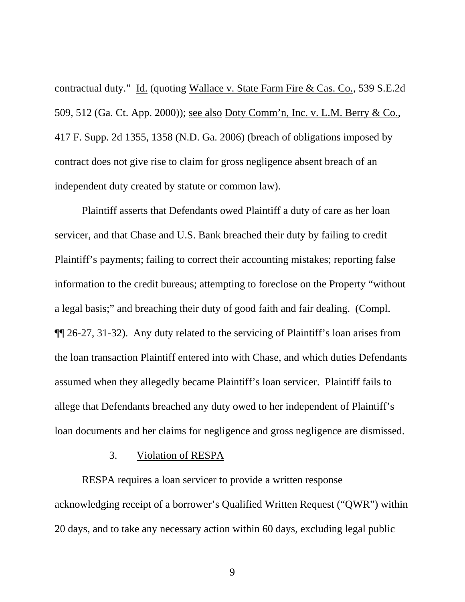contractual duty." Id. (quoting Wallace v. State Farm Fire & Cas. Co., 539 S.E.2d 509, 512 (Ga. Ct. App. 2000)); see also Doty Comm'n, Inc. v. L.M. Berry & Co., 417 F. Supp. 2d 1355, 1358 (N.D. Ga. 2006) (breach of obligations imposed by contract does not give rise to claim for gross negligence absent breach of an independent duty created by statute or common law).

Plaintiff asserts that Defendants owed Plaintiff a duty of care as her loan servicer, and that Chase and U.S. Bank breached their duty by failing to credit Plaintiff's payments; failing to correct their accounting mistakes; reporting false information to the credit bureaus; attempting to foreclose on the Property "without a legal basis;" and breaching their duty of good faith and fair dealing. (Compl. ¶¶ 26-27, 31-32). Any duty related to the servicing of Plaintiff's loan arises from the loan transaction Plaintiff entered into with Chase, and which duties Defendants assumed when they allegedly became Plaintiff's loan servicer. Plaintiff fails to allege that Defendants breached any duty owed to her independent of Plaintiff's loan documents and her claims for negligence and gross negligence are dismissed.

## 3. Violation of RESPA

 RESPA requires a loan servicer to provide a written response acknowledging receipt of a borrower's Qualified Written Request ("QWR") within 20 days, and to take any necessary action within 60 days, excluding legal public

9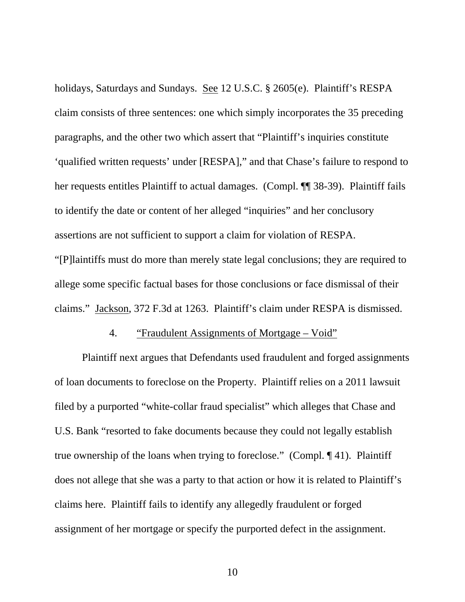holidays, Saturdays and Sundays. See 12 U.S.C. § 2605(e). Plaintiff's RESPA claim consists of three sentences: one which simply incorporates the 35 preceding paragraphs, and the other two which assert that "Plaintiff's inquiries constitute 'qualified written requests' under [RESPA]," and that Chase's failure to respond to her requests entitles Plaintiff to actual damages. (Compl. ¶¶ 38-39). Plaintiff fails to identify the date or content of her alleged "inquiries" and her conclusory assertions are not sufficient to support a claim for violation of RESPA. "[P]laintiffs must do more than merely state legal conclusions; they are required to allege some specific factual bases for those conclusions or face dismissal of their claims." Jackson, 372 F.3d at 1263. Plaintiff's claim under RESPA is dismissed.

### 4. "Fraudulent Assignments of Mortgage – Void"

 Plaintiff next argues that Defendants used fraudulent and forged assignments of loan documents to foreclose on the Property. Plaintiff relies on a 2011 lawsuit filed by a purported "white-collar fraud specialist" which alleges that Chase and U.S. Bank "resorted to fake documents because they could not legally establish true ownership of the loans when trying to foreclose." (Compl. ¶ 41). Plaintiff does not allege that she was a party to that action or how it is related to Plaintiff's claims here. Plaintiff fails to identify any allegedly fraudulent or forged assignment of her mortgage or specify the purported defect in the assignment.

10